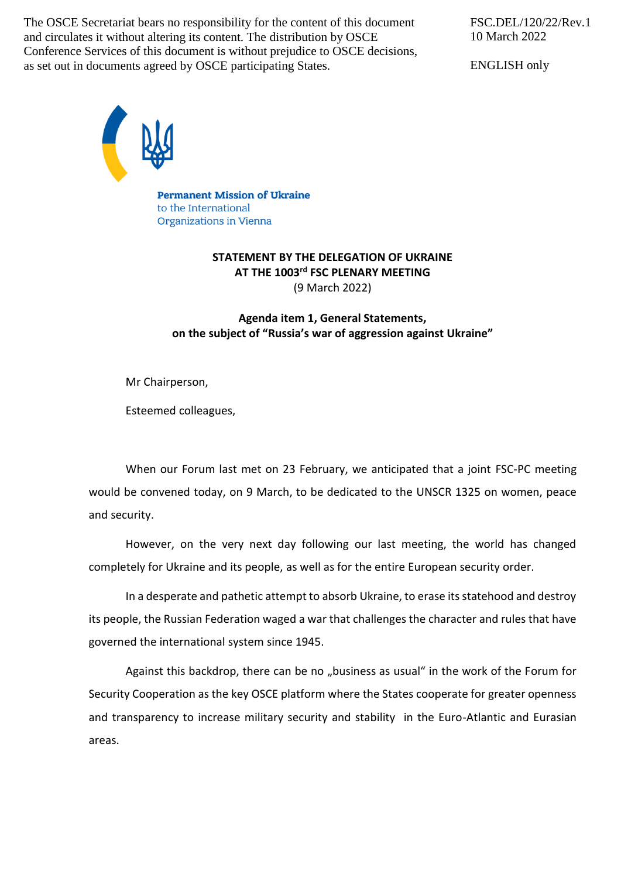The OSCE Secretariat bears no responsibility for the content of this document and circulates it without altering its content. The distribution by OSCE Conference Services of this document is without prejudice to OSCE decisions, as set out in documents agreed by OSCE participating States.

FSC.DEL/120/22/Rev.1 10 March 2022

ENGLISH only



**Permanent Mission of Ukraine** to the International Organizations in Vienna

## **STATEMENT BY THE DELEGATION OF UKRAINE AT THE 1003rd FSC PLENARY MEETING** (9 March 2022)

## **Agenda item 1, General Statements, on the subject of "Russia's war of aggression against Ukraine"**

Mr Chairperson,

Esteemed colleagues,

When our Forum last met on 23 February, we anticipated that a joint FSC-PC meeting would be convened today, on 9 March, to be dedicated to the UNSCR 1325 on women, peace and security.

However, on the very next day following our last meeting, the world has changed completely for Ukraine and its people, as well as for the entire European security order.

In a desperate and pathetic attempt to absorb Ukraine, to erase its statehood and destroy its people, the Russian Federation waged a war that challenges the character and rules that have governed the international system since 1945.

Against this backdrop, there can be no "business as usual" in the work of the Forum for Security Cooperation as the key OSCE platform where the States cooperate for greater openness and transparency to increase military security and stability in the Euro-Atlantic and Eurasian areas.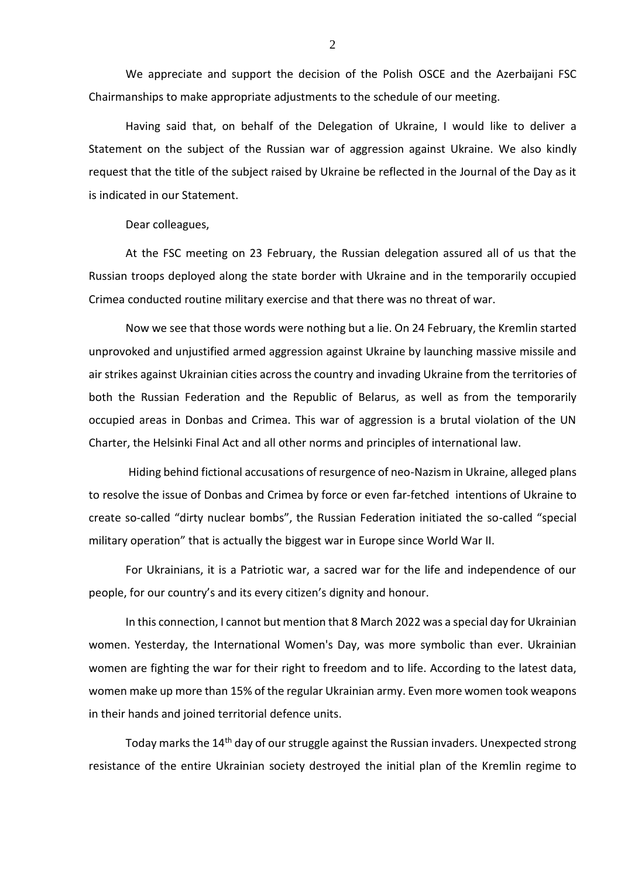We appreciate and support the decision of the Polish OSCE and the Azerbaijani FSC Chairmanships to make appropriate adjustments to the schedule of our meeting.

Having said that, on behalf of the Delegation of Ukraine, I would like to deliver a Statement on the subject of the Russian war of aggression against Ukraine. We also kindly request that the title of the subject raised by Ukraine be reflected in the Journal of the Day as it is indicated in our Statement.

Dear colleagues,

At the FSC meeting on 23 February, the Russian delegation assured all of us that the Russian troops deployed along the state border with Ukraine and in the temporarily occupied Crimea conducted routine military exercise and that there was no threat of war.

Now we see that those words were nothing but a lie. On 24 February, the Kremlin started unprovoked and unjustified armed aggression against Ukraine by launching massive missile and air strikes against Ukrainian cities across the country and invading Ukraine from the territories of both the Russian Federation and the Republic of Belarus, as well as from the temporarily occupied areas in Donbas and Crimea. This war of aggression is a brutal violation of the UN Charter, the Helsinki Final Act and all other norms and principles of international law.

Hiding behind fictional accusations of resurgence of neo-Nazism in Ukraine, alleged plans to resolve the issue of Donbas and Crimea by force or even far-fetched intentions of Ukraine to create so-called "dirty nuclear bombs", the Russian Federation initiated the so-called "special military operation" that is actually the biggest war in Europe since World War II.

For Ukrainians, it is a Patriotic war, a sacred war for the life and independence of our people, for our country's and its every citizen's dignity and honour.

In this connection, I cannot but mention that 8 March 2022 was a special day for Ukrainian women. Yesterday, the International Women's Day, was more symbolic than ever. Ukrainian women are fighting the war for their right to freedom and to life. According to the latest data, women make up more than 15% of the regular Ukrainian army. Even more women took weapons in their hands and joined territorial defence units.

Today marks the 14<sup>th</sup> day of our struggle against the Russian invaders. Unexpected strong resistance of the entire Ukrainian society destroyed the initial plan of the Kremlin regime to

2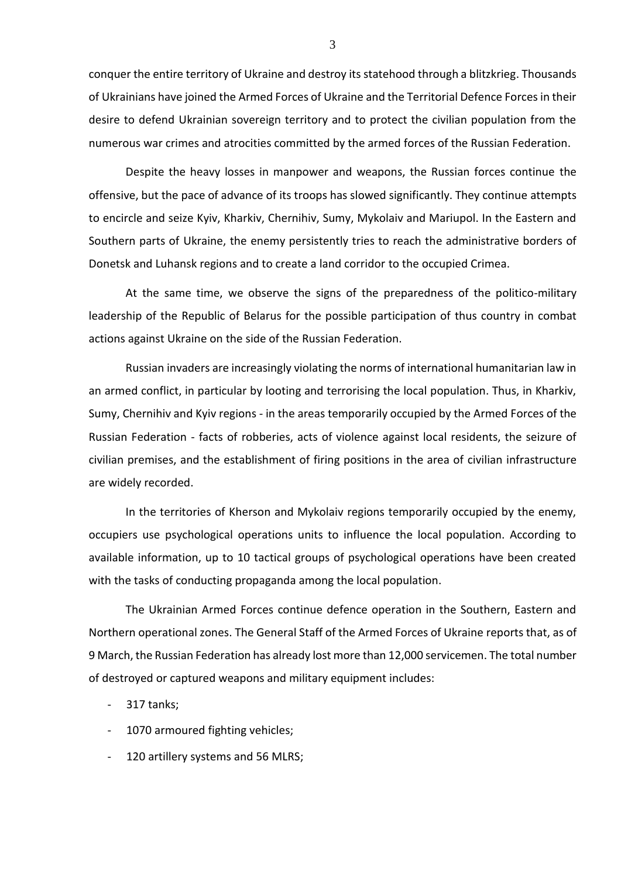conquer the entire territory of Ukraine and destroy its statehood through a blitzkrieg. Thousands of Ukrainians have joined the Armed Forces of Ukraine and the Territorial Defence Forces in their desire to defend Ukrainian sovereign territory and to protect the civilian population from the numerous war crimes and atrocities committed by the armed forces of the Russian Federation.

Despite the heavy losses in manpower and weapons, the Russian forces continue the offensive, but the pace of advance of its troops has slowed significantly. They continue attempts to encircle and seize Kyiv, Kharkiv, Chernihiv, Sumy, Mykolaiv and Mariupol. In the Eastern and Southern parts of Ukraine, the enemy persistently tries to reach the administrative borders of Donetsk and Luhansk regions and to create a land corridor to the occupied Crimea.

At the same time, we observe the signs of the preparedness of the politico-military leadership of the Republic of Belarus for the possible participation of thus country in combat actions against Ukraine on the side of the Russian Federation.

Russian invaders are increasingly violating the norms of international humanitarian law in an armed conflict, in particular by looting and terrorising the local population. Thus, in Kharkiv, Sumy, Chernihiv and Kyiv regions - in the areas temporarily occupied by the Armed Forces of the Russian Federation - facts of robberies, acts of violence against local residents, the seizure of civilian premises, and the establishment of firing positions in the area of civilian infrastructure are widely recorded.

In the territories of Kherson and Mykolaiv regions temporarily occupied by the enemy, occupiers use psychological operations units to influence the local population. According to available information, up to 10 tactical groups of psychological operations have been created with the tasks of conducting propaganda among the local population.

The Ukrainian Armed Forces continue defence operation in the Southern, Eastern and Northern operational zones. The General Staff of the Armed Forces of Ukraine reports that, as of 9 March, the Russian Federation has already lost more than 12,000 servicemen. The total number of destroyed or captured weapons and military equipment includes:

- 317 tanks;
- 1070 armoured fighting vehicles;
- 120 artillery systems and 56 MLRS;

3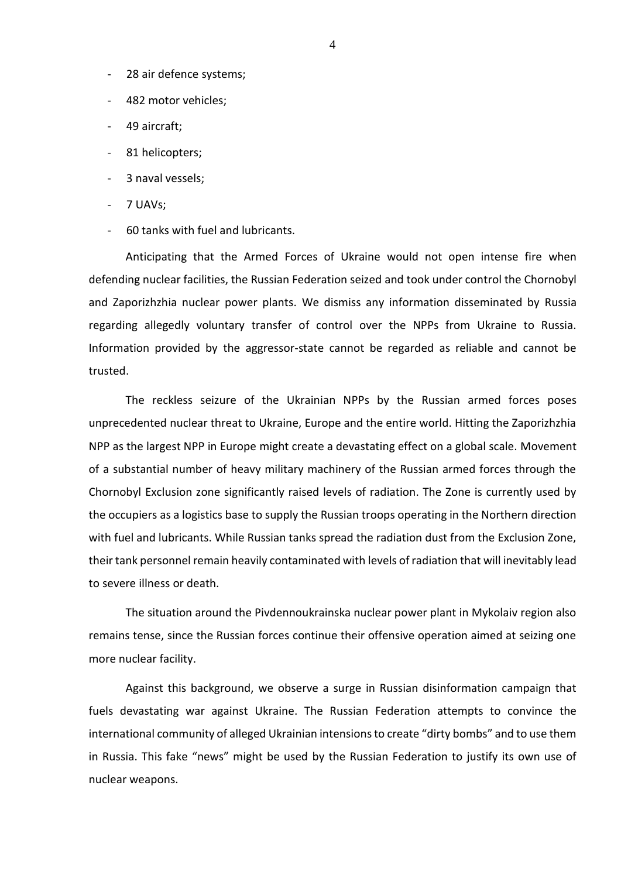- 28 air defence systems;
- 482 motor vehicles;
- 49 aircraft;
- 81 helicopters;
- 3 naval vessels;
- 7 UAVs;
- 60 tanks with fuel and lubricants.

Anticipating that the Armed Forces of Ukraine would not open intense fire when defending nuclear facilities, the Russian Federation seized and took under control the Chornobyl and Zaporizhzhia nuclear power plants. We dismiss any information disseminated by Russia regarding allegedly voluntary transfer of control over the NPPs from Ukraine to Russia. Information provided by the aggressor-state cannot be regarded as reliable and cannot be trusted.

The reckless seizure of the Ukrainian NPPs by the Russian armed forces poses unprecedented nuclear threat to Ukraine, Europe and the entire world. Hitting the Zaporizhzhia NPP as the largest NPP in Europe might create a devastating effect on a global scale. Movement of a substantial number of heavy military machinery of the Russian armed forces through the Chornobyl Exclusion zone significantly raised levels of radiation. The Zone is currently used by the occupiers as a logistics base to supply the Russian troops operating in the Northern direction with fuel and lubricants. While Russian tanks spread the radiation dust from the Exclusion Zone, their tank personnel remain heavily contaminated with levels of radiation that will inevitably lead to severe illness or death.

The situation around the Pivdennoukrainska nuclear power plant in Mykolaiv region also remains tense, since the Russian forces continue their offensive operation aimed at seizing one more nuclear facility.

Against this background, we observe a surge in Russian disinformation campaign that fuels devastating war against Ukraine. The Russian Federation attempts to convince the international community of alleged Ukrainian intensions to create "dirty bombs" and to use them in Russia. This fake "news" might be used by the Russian Federation to justify its own use of nuclear weapons.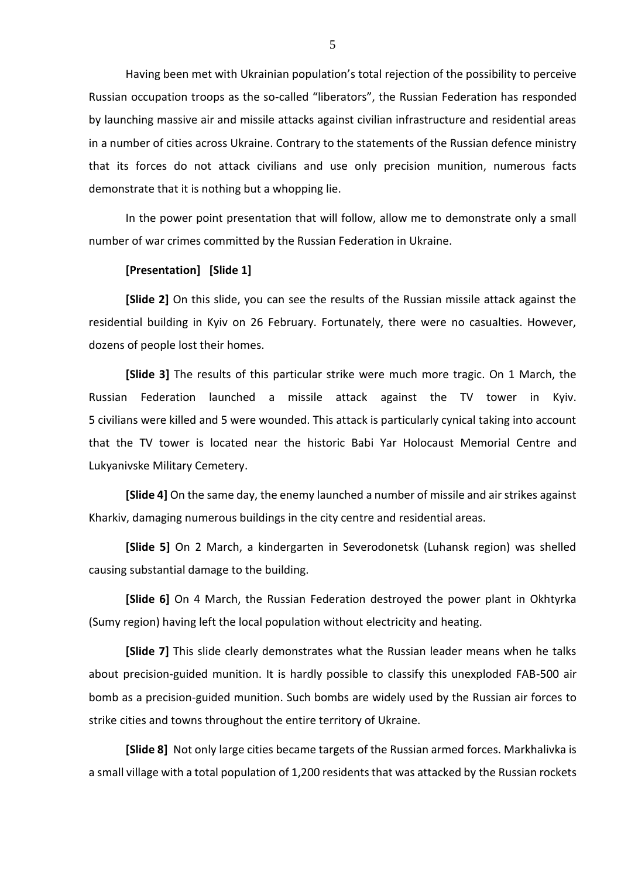Having been met with Ukrainian population's total rejection of the possibility to perceive Russian occupation troops as the so-called "liberators", the Russian Federation has responded by launching massive air and missile attacks against civilian infrastructure and residential areas in a number of cities across Ukraine. Contrary to the statements of the Russian defence ministry that its forces do not attack civilians and use only precision munition, numerous facts demonstrate that it is nothing but a whopping lie.

In the power point presentation that will follow, allow me to demonstrate only a small number of war crimes committed by the Russian Federation in Ukraine.

## **[Presentation] [Slide 1]**

**[Slide 2]** On this slide, you can see the results of the Russian missile attack against the residential building in Kyiv on 26 February. Fortunately, there were no casualties. However, dozens of people lost their homes.

**[Slide 3]** The results of this particular strike were much more tragic. On 1 March, the Russian Federation launched a missile attack against the TV tower in Kyiv. 5 civilians were killed and 5 were wounded. This attack is particularly cynical taking into account that the TV tower is located near the historic Babi Yar Holocaust Memorial Centre and Lukyanivske Military Cemetery.

**[Slide 4]** On the same day, the enemy launched a number of missile and air strikes against Kharkiv, damaging numerous buildings in the city centre and residential areas.

**[Slide 5]** On 2 March, a kindergarten in Severodonetsk (Luhansk region) was shelled causing substantial damage to the building.

**[Slide 6]** On 4 March, the Russian Federation destroyed the power plant in Okhtyrka (Sumy region) having left the local population without electricity and heating.

**[Slide 7]** This slide clearly demonstrates what the Russian leader means when he talks about precision-guided munition. It is hardly possible to classify this unexploded FAB-500 air bomb as a precision-guided munition. Such bombs are widely used by the Russian air forces to strike cities and towns throughout the entire territory of Ukraine.

**[Slide 8]** Not only large cities became targets of the Russian armed forces. Markhalivka is a small village with a total population of 1,200 residents that was attacked by the Russian rockets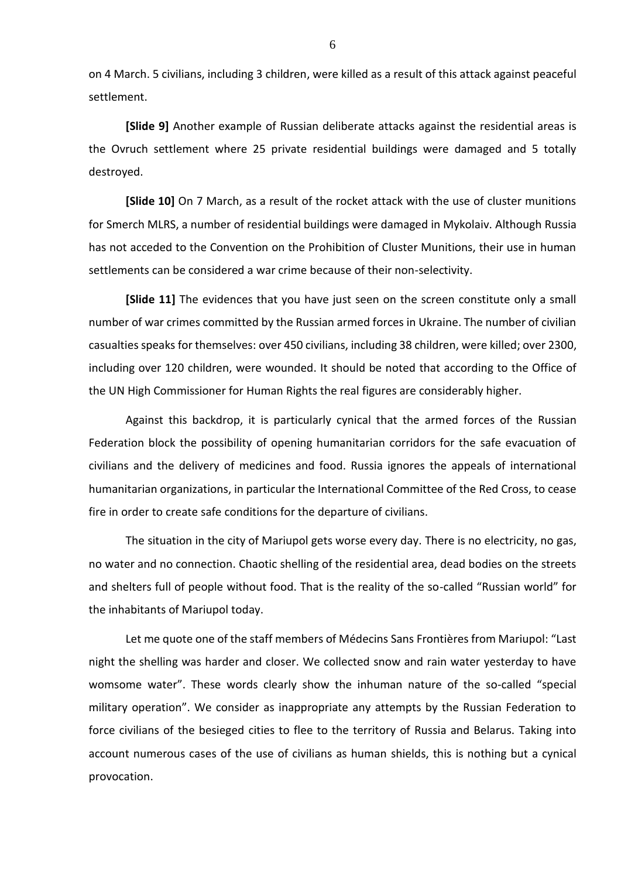on 4 March. 5 civilians, including 3 children, were killed as a result of this attack against peaceful settlement.

**[Slide 9]** Another example of Russian deliberate attacks against the residential areas is the Ovruch settlement where 25 private residential buildings were damaged and 5 totally destroyed.

**[Slide 10]** On 7 March, as a result of the rocket attack with the use of cluster munitions for Smerch MLRS, a number of residential buildings were damaged in Mykolaiv. Although Russia has not acceded to the Convention on the Prohibition of Cluster Munitions, their use in human settlements can be considered a war crime because of their non-selectivity.

**[Slide 11]** The evidences that you have just seen on the screen constitute only a small number of war crimes committed by the Russian armed forces in Ukraine. The number of civilian casualties speaks for themselves: over 450 civilians, including 38 children, were killed; over 2300, including over 120 children, were wounded. It should be noted that according to the Office of the UN High Commissioner for Human Rights the real figures are considerably higher.

Against this backdrop, it is particularly cynical that the armed forces of the Russian Federation block the possibility of opening humanitarian corridors for the safe evacuation of civilians and the delivery of medicines and food. Russia ignores the appeals of international humanitarian organizations, in particular the International Committee of the Red Cross, to cease fire in order to create safe conditions for the departure of civilians.

The situation in the city of Mariupol gets worse every day. There is no electricity, no gas, no water and no connection. Chaotic shelling of the residential area, dead bodies on the streets and shelters full of people without food. That is the reality of the so-called "Russian world" for the inhabitants of Mariupol today.

Let me quote one of the staff members of Médecins Sans Frontières from Mariupol: "Last night the shelling was harder and closer. We collected snow and rain water yesterday to have womsome water". These words clearly show the inhuman nature of the so-called "special military operation". We consider as inappropriate any attempts by the Russian Federation to force civilians of the besieged cities to flee to the territory of Russia and Belarus. Taking into account numerous cases of the use of civilians as human shields, this is nothing but a cynical provocation.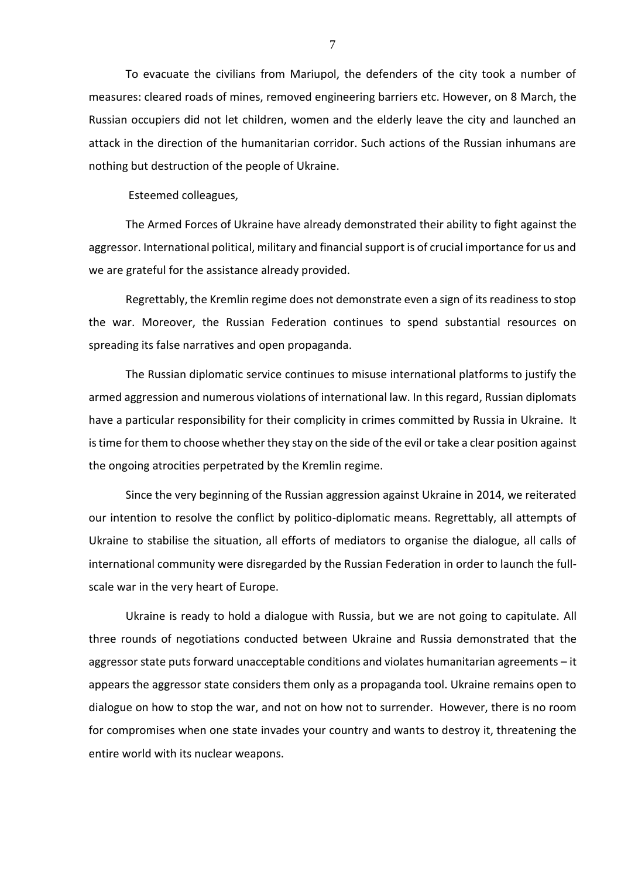To evacuate the civilians from Mariupol, the defenders of the city took a number of measures: cleared roads of mines, removed engineering barriers etc. However, on 8 March, the Russian occupiers did not let children, women and the elderly leave the city and launched an attack in the direction of the humanitarian corridor. Such actions of the Russian inhumans are nothing but destruction of the people of Ukraine.

Esteemed colleagues,

The Armed Forces of Ukraine have already demonstrated their ability to fight against the aggressor. International political, military and financial support is of crucial importance for us and we are grateful for the assistance already provided.

Regrettably, the Kremlin regime does not demonstrate even a sign of its readiness to stop the war. Moreover, the Russian Federation continues to spend substantial resources on spreading its false narratives and open propaganda.

The Russian diplomatic service continues to misuse international platforms to justify the armed aggression and numerous violations of international law. In this regard, Russian diplomats have a particular responsibility for their complicity in crimes committed by Russia in Ukraine. It is time for them to choose whether they stay on the side of the evil or take a clear position against the ongoing atrocities perpetrated by the Kremlin regime.

Since the very beginning of the Russian aggression against Ukraine in 2014, we reiterated our intention to resolve the conflict by politico-diplomatic means. Regrettably, all attempts of Ukraine to stabilise the situation, all efforts of mediators to organise the dialogue, all calls of international community were disregarded by the Russian Federation in order to launch the fullscale war in the very heart of Europe.

Ukraine is ready to hold a dialogue with Russia, but we are not going to capitulate. All three rounds of negotiations conducted between Ukraine and Russia demonstrated that the aggressor state puts forward unacceptable conditions and violates humanitarian agreements – it appears the aggressor state considers them only as a propaganda tool. Ukraine remains open to dialogue on how to stop the war, and not on how not to surrender. However, there is no room for compromises when one state invades your country and wants to destroy it, threatening the entire world with its nuclear weapons.

7